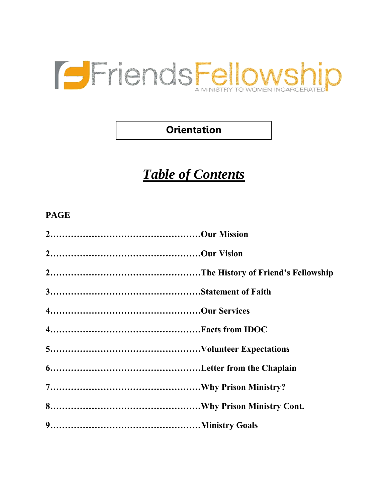

### **Orientation**

# *Table of Contents*

#### **PAGE**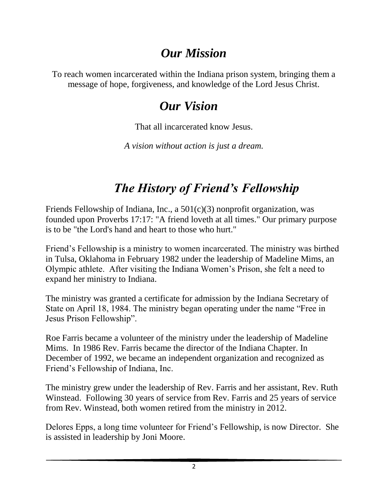### *Our Mission*

To reach women incarcerated within the Indiana prison system, bringing them a message of hope, forgiveness, and knowledge of the Lord Jesus Christ.

### *Our Vision*

That all incarcerated know Jesus.

*A vision without action is just a dream.*

# *The History of Friend's Fellowship*

Friends Fellowship of Indiana, Inc., a 501(c)(3) nonprofit organization, was founded upon Proverbs 17:17: "A friend loveth at all times." Our primary purpose is to be "the Lord's hand and heart to those who hurt."

Friend's Fellowship is a ministry to women incarcerated. The ministry was birthed in Tulsa, Oklahoma in February 1982 under the leadership of Madeline Mims, an Olympic athlete. After visiting the Indiana Women's Prison, she felt a need to expand her ministry to Indiana.

The ministry was granted a certificate for admission by the Indiana Secretary of State on April 18, 1984. The ministry began operating under the name "Free in Jesus Prison Fellowship".

Roe Farris became a volunteer of the ministry under the leadership of Madeline Mims. In 1986 Rev. Farris became the director of the Indiana Chapter. In December of 1992, we became an independent organization and recognized as Friend's Fellowship of Indiana, Inc.

The ministry grew under the leadership of Rev. Farris and her assistant, Rev. Ruth Winstead. Following 30 years of service from Rev. Farris and 25 years of service from Rev. Winstead, both women retired from the ministry in 2012.

Delores Epps, a long time volunteer for Friend's Fellowship, is now Director. She is assisted in leadership by Joni Moore.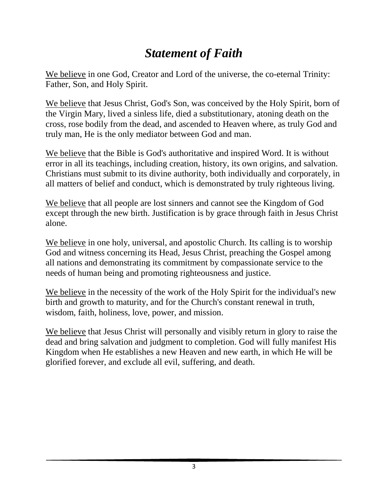## *Statement of Faith*

We believe in one God, Creator and Lord of the universe, the co-eternal Trinity: Father, Son, and Holy Spirit.

We believe that Jesus Christ, God's Son, was conceived by the Holy Spirit, born of the Virgin Mary, lived a sinless life, died a substitutionary, atoning death on the cross, rose bodily from the dead, and ascended to Heaven where, as truly God and truly man, He is the only mediator between God and man.

We believe that the Bible is God's authoritative and inspired Word. It is without error in all its teachings, including creation, history, its own origins, and salvation. Christians must submit to its divine authority, both individually and corporately, in all matters of belief and conduct, which is demonstrated by truly righteous living.

We believe that all people are lost sinners and cannot see the Kingdom of God except through the new birth. Justification is by grace through faith in Jesus Christ alone.

We believe in one holy, universal, and apostolic Church. Its calling is to worship God and witness concerning its Head, Jesus Christ, preaching the Gospel among all nations and demonstrating its commitment by compassionate service to the needs of human being and promoting righteousness and justice.

We believe in the necessity of the work of the Holy Spirit for the individual's new birth and growth to maturity, and for the Church's constant renewal in truth, wisdom, faith, holiness, love, power, and mission.

We believe that Jesus Christ will personally and visibly return in glory to raise the dead and bring salvation and judgment to completion. God will fully manifest His Kingdom when He establishes a new Heaven and new earth, in which He will be glorified forever, and exclude all evil, suffering, and death.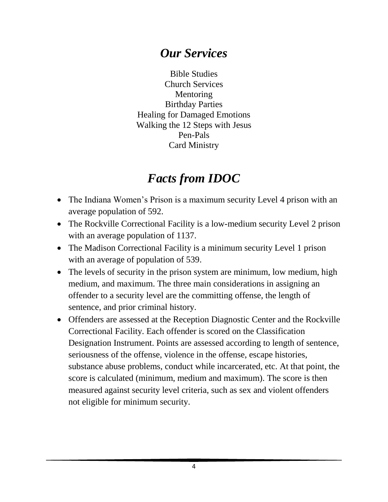### *Our Services*

Bible Studies Church Services Mentoring Birthday Parties Healing for Damaged Emotions Walking the 12 Steps with Jesus Pen-Pals Card Ministry

## *Facts from IDOC*

- The Indiana Women's Prison is a maximum security Level 4 prison with an average population of 592.
- The Rockville Correctional Facility is a low-medium security Level 2 prison with an average population of 1137.
- The Madison Correctional Facility is a minimum security Level 1 prison with an average of population of 539.
- The levels of security in the prison system are minimum, low medium, high medium, and maximum. The three main considerations in assigning an offender to a security level are the committing offense, the length of sentence, and prior criminal history.
- Offenders are assessed at the Reception Diagnostic Center and the Rockville Correctional Facility. Each offender is scored on the Classification Designation Instrument. Points are assessed according to length of sentence, seriousness of the offense, violence in the offense, escape histories, substance abuse problems, conduct while incarcerated, etc. At that point, the score is calculated (minimum, medium and maximum). The score is then measured against security level criteria, such as sex and violent offenders not eligible for minimum security.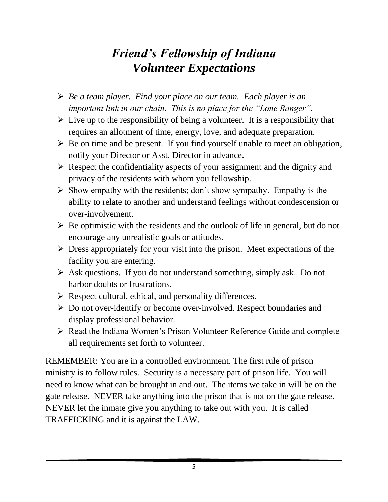### *Friend's Fellowship of Indiana Volunteer Expectations*

- *Be a team player. Find your place on our team. Each player is an important link in our chain. This is no place for the "Lone Ranger".*
- $\triangleright$  Live up to the responsibility of being a volunteer. It is a responsibility that requires an allotment of time, energy, love, and adequate preparation.
- $\triangleright$  Be on time and be present. If you find yourself unable to meet an obligation, notify your Director or Asst. Director in advance.
- $\triangleright$  Respect the confidentiality aspects of your assignment and the dignity and privacy of the residents with whom you fellowship.
- $\triangleright$  Show empathy with the residents; don't show sympathy. Empathy is the ability to relate to another and understand feelings without condescension or over-involvement.
- $\triangleright$  Be optimistic with the residents and the outlook of life in general, but do not encourage any unrealistic goals or attitudes.
- $\triangleright$  Dress appropriately for your visit into the prison. Meet expectations of the facility you are entering.
- $\triangleright$  Ask questions. If you do not understand something, simply ask. Do not harbor doubts or frustrations.
- $\triangleright$  Respect cultural, ethical, and personality differences.
- Do not over-identify or become over-involved. Respect boundaries and display professional behavior.
- ▶ Read the Indiana Women's Prison Volunteer Reference Guide and complete all requirements set forth to volunteer.

REMEMBER: You are in a controlled environment. The first rule of prison ministry is to follow rules. Security is a necessary part of prison life. You will need to know what can be brought in and out. The items we take in will be on the gate release. NEVER take anything into the prison that is not on the gate release. NEVER let the inmate give you anything to take out with you. It is called TRAFFICKING and it is against the LAW.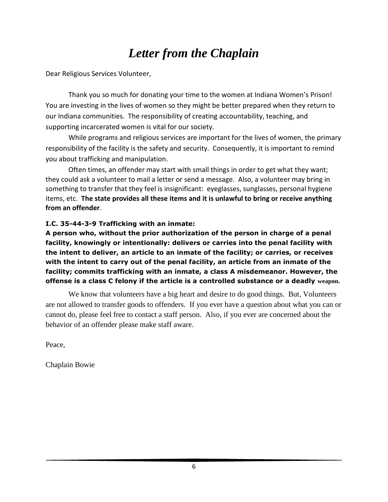### *Letter from the Chaplain*

Dear Religious Services Volunteer,

Thank you so much for donating your time to the women at Indiana Women's Prison! You are investing in the lives of women so they might be better prepared when they return to our Indiana communities. The responsibility of creating accountability, teaching, and supporting incarcerated women is vital for our society.

While programs and religious services are important for the lives of women, the primary responsibility of the facility is the safety and security. Consequently, it is important to remind you about trafficking and manipulation.

Often times, an offender may start with small things in order to get what they want; they could ask a volunteer to mail a letter or send a message. Also, a volunteer may bring in something to transfer that they feel is insignificant: eyeglasses, sunglasses, personal hygiene items, etc. **The state provides all these items and it is unlawful to bring or receive anything from an offender**.

#### **I.C. 35-44-3-9 Trafficking with an inmate:**

**A person who, without the prior authorization of the person in charge of a penal facility, knowingly or intentionally: delivers or carries into the penal facility with the intent to deliver, an article to an inmate of the facility; or carries, or receives with the intent to carry out of the penal facility, an article from an inmate of the facility; commits trafficking with an inmate, a class A misdemeanor. However, the offense is a class C felony if the article is a controlled substance or a deadly weapon.**

We know that volunteers have a big heart and desire to do good things. But, Volunteers are not allowed to transfer goods to offenders. If you ever have a question about what you can or cannot do, please feel free to contact a staff person. Also, if you ever are concerned about the behavior of an offender please make staff aware.

Peace,

Chaplain Bowie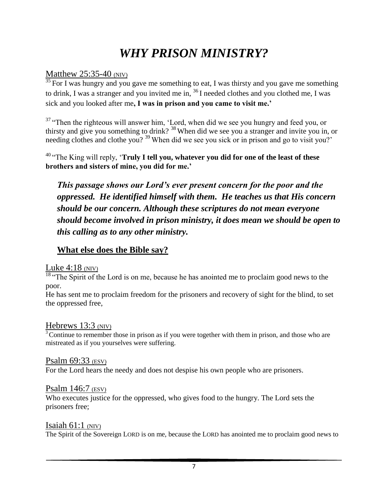## *WHY PRISON MINISTRY?*

#### Matthew 25:35-40 (NIV)

 $\frac{35}{35}$  For I was hungry and you gave me something to eat, I was thirsty and you gave me something to drink, I was a stranger and you invited me in, <sup>36</sup>I needed clothes and you clothed me, I was sick and you looked after me**, I was in prison and you came to visit me.'**

<sup>37</sup> "Then the righteous will answer him, 'Lord, when did we see you hungry and feed you, or thirsty and give you something to drink? <sup>38</sup>When did we see you a stranger and invite you in, or needing clothes and clothe you?<sup>39</sup>When did we see you sick or in prison and go to visit you?'

<sup>40</sup>"The King will reply, '**Truly I tell you, whatever you did for one of the least of these brothers and sisters of mine, you did for me.'**

*This passage shows our Lord's ever present concern for the poor and the oppressed. He identified himself with them. He teaches us that His concern should be our concern. Although these scriptures do not mean everyone should become involved in prison ministry, it does mean we should be open to this calling as to any other ministry.* 

#### **What else does the Bible say?**

#### Luke  $4:18$  (NIV)

 $\frac{18}{18}$  The Spirit of the Lord is on me, because he has anointed me to proclaim good news to the poor.

He has sent me to proclaim freedom for the prisoners and recovery of sight for the blind, to set the oppressed free,

#### Hebrews 13:3 (NIV)

 $3$  Continue to remember those in prison as if you were together with them in prison, and those who are mistreated as if you yourselves were suffering.

#### Psalm 69:33 (ESV)

For the Lord hears the needy and does not despise his own people who are prisoners.

#### Psalm 146:7 (ESV)

Who executes justice for the oppressed, who gives food to the hungry. The Lord sets the prisoners free;

#### Isaiah  $61:1$  (NIV)

The Spirit of the Sovereign LORD is on me, because the LORD has anointed me to proclaim good news to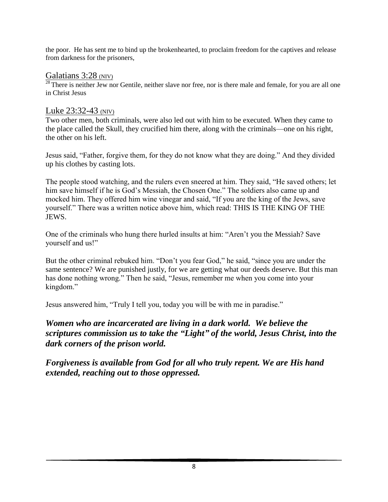the poor. He has sent me to bind up the brokenhearted, to proclaim freedom for the captives and release from darkness for the prisoners,

#### Galatians 3:28 (NIV)

<sup>28</sup> There is neither Jew nor Gentile, neither slave nor free, nor is there male and female, for you are all one in Christ Jesus

#### Luke 23:32-43 (NIV)

Two other men, both criminals, were also led out with him to be executed. When they came to the place called the Skull, they crucified him there, along with the criminals—one on his right, the other on his left.

Jesus said, "Father, forgive them, for they do not know what they are doing." And they divided up his clothes by casting lots.

The people stood watching, and the rulers even sneered at him. They said, "He saved others; let him save himself if he is God's Messiah, the Chosen One." The soldiers also came up and mocked him. They offered him wine vinegar and said, "If you are the king of the Jews, save yourself." There was a written notice above him, which read: THIS IS THE KING OF THE JEWS.

One of the criminals who hung there hurled insults at him: "Aren't you the Messiah? Save yourself and us!"

But the other criminal rebuked him. "Don't you fear God," he said, "since you are under the same sentence? We are punished justly, for we are getting what our deeds deserve. But this man has done nothing wrong." Then he said, "Jesus, remember me when you come into your kingdom."

Jesus answered him, "Truly I tell you, today you will be with me in paradise."

#### *Women who are incarcerated are living in a dark world. We believe the scriptures commission us to take the "Light" of the world, Jesus Christ, into the dark corners of the prison world.*

*Forgiveness is available from God for all who truly repent. We are His hand extended, reaching out to those oppressed.*